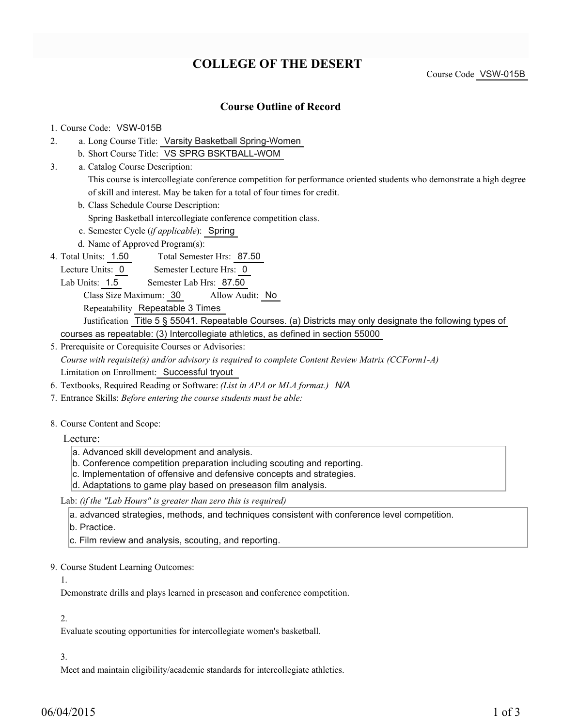# **COLLEGE OF THE DESERT**

Course Code VSW-015B

# **Course Outline of Record**

## 1. Course Code: VSW-015B

- a. Long Course Title: Varsity Basketball Spring-Women 2.
	- b. Short Course Title: VS SPRG BSKTBALL-WOM
- Catalog Course Description: a. 3.

This course is intercollegiate conference competition for performance oriented students who demonstrate a high degree of skill and interest. May be taken for a total of four times for credit.

b. Class Schedule Course Description:

Spring Basketball intercollegiate conference competition class.

- c. Semester Cycle (*if applicable*): Spring
- d. Name of Approved Program(s):
- Total Semester Hrs: 87.50 4. Total Units: 1.50
- Lecture Units: 0 Semester Lecture Hrs: 0
- Lab Units: 1.5 Semester Lab Hrs: 87.50
	- Class Size Maximum: 30 Allow Audit: No

Repeatability Repeatable 3 Times

Justification Title 5 § 55041. Repeatable Courses. (a) Districts may only designate the following types of courses as repeatable: (3) Intercollegiate athletics, as defined in section 55000

5. Prerequisite or Corequisite Courses or Advisories:

*Course with requisite(s) and/or advisory is required to complete Content Review Matrix (CCForm1-A)* Limitation on Enrollment: Successful tryout

- 6. Textbooks, Required Reading or Software: *(List in APA or MLA format.) N/A*
- 7. Entrance Skills: *Before entering the course students must be able:*
- 8. Course Content and Scope:

Lecture:

- a. Advanced skill development and analysis.
- b. Conference competition preparation including scouting and reporting.
- c. Implementation of offensive and defensive concepts and strategies.
- d. Adaptations to game play based on preseason film analysis.

Lab: *(if the "Lab Hours" is greater than zero this is required)*

a. advanced strategies, methods, and techniques consistent with conference level competition.

b. Practice.

- c. Film review and analysis, scouting, and reporting.
- 9. Course Student Learning Outcomes:

#### 1.

Demonstrate drills and plays learned in preseason and conference competition.

#### 2.

Evaluate scouting opportunities for intercollegiate women's basketball.

#### 3.

Meet and maintain eligibility/academic standards for intercollegiate athletics.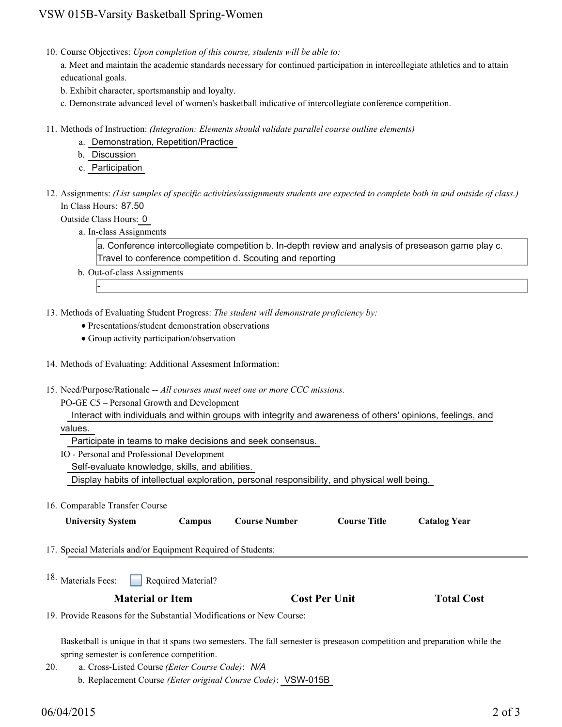10. Course Objectives: Upon completion of this course, students will be able to:

a. Meet and maintain the academic standards necessary for continued participation in intercollegiate athletics and to attain educational goals.

b. Exhibit character, sportsmanship and loyalty.

c. Demonstrate advanced level of women's basketball indicative of intercollegiate conference competition.

- Methods of Instruction: *(Integration: Elements should validate parallel course outline elements)* 11.
	- a. Demonstration, Repetition/Practice
	- b. Discussion
	- c. Participation

12. Assignments: (List samples of specific activities/assignments students are expected to complete both in and outside of class.) In Class Hours: 87.50

Outside Class Hours: 0

-

a. In-class Assignments

a. Conference intercollegiate competition b. In-depth review and analysis of preseason game play c. Travel to conference competition d. Scouting and reporting

- b. Out-of-class Assignments
- 13. Methods of Evaluating Student Progress: The student will demonstrate proficiency by:
	- Presentations/student demonstration observations
	- Group activity participation/observation
- 14. Methods of Evaluating: Additional Assesment Information:
- 15. Need/Purpose/Rationale -- All courses must meet one or more CCC missions.
	- PO-GE C5 Personal Growth and Development

Interact with individuals and within groups with integrity and awareness of others' opinions, feelings, and

values.

Participate in teams to make decisions and seek consensus.

- IO Personal and Professional Development
	- Self-evaluate knowledge, skills, and abilities.

Display habits of intellectual exploration, personal responsibility, and physical well being.

16. Comparable Transfer Course

| <b>University System</b>                                             | Campus             | <b>Course Number</b> | <b>Course Title</b>  | <b>Catalog Year</b> |  |
|----------------------------------------------------------------------|--------------------|----------------------|----------------------|---------------------|--|
| 17. Special Materials and/or Equipment Required of Students:         |                    |                      |                      |                     |  |
| <sup>18.</sup> Materials Fees:<br>r.                                 | Required Material? |                      |                      |                     |  |
| <b>Material or Item</b>                                              |                    |                      | <b>Cost Per Unit</b> | <b>Total Cost</b>   |  |
| 19. Provide Reasons for the Substantial Modifications or New Course: |                    |                      |                      |                     |  |
|                                                                      |                    |                      |                      |                     |  |

Basketball is unique in that it spans two semesters. The fall semester is preseason competition and preparation while the spring semester is conference competition.

a. Cross-Listed Course *(Enter Course Code)*: *N/A* b. Replacement Course *(Enter original Course Code)*: VSW-015B 20.